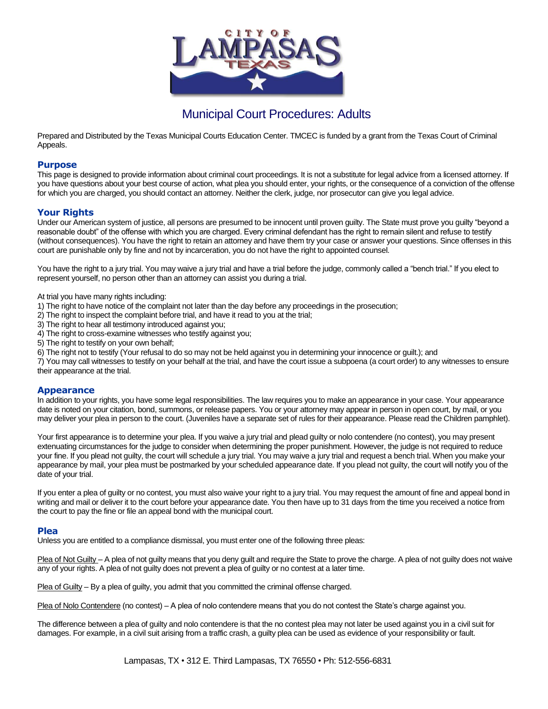

# Municipal Court Procedures: Adults

Prepared and Distributed by the Texas Municipal Courts Education Center. TMCEC is funded by a grant from the Texas Court of Criminal Appeals.

#### **Purpose**

This page is designed to provide information about criminal court proceedings. It is not a substitute for legal advice from a licensed attorney. If you have questions about your best course of action, what plea you should enter, your rights, or the consequence of a conviction of the offense for which you are charged, you should contact an attorney. Neither the clerk, judge, nor prosecutor can give you legal advice.

# **Your Rights**

Under our American system of justice, all persons are presumed to be innocent until proven guilty. The State must prove you guilty "beyond a reasonable doubt" of the offense with which you are charged. Every criminal defendant has the right to remain silent and refuse to testify (without consequences). You have the right to retain an attorney and have them try your case or answer your questions. Since offenses in this court are punishable only by fine and not by incarceration, you do not have the right to appointed counsel.

You have the right to a jury trial. You may waive a jury trial and have a trial before the judge, commonly called a "bench trial." If you elect to represent yourself, no person other than an attorney can assist you during a trial.

At trial you have many rights including:

- 1) The right to have notice of the complaint not later than the day before any proceedings in the prosecution;
- 2) The right to inspect the complaint before trial, and have it read to you at the trial;
- 3) The right to hear all testimony introduced against you;
- 4) The right to cross-examine witnesses who testify against you;
- 5) The right to testify on your own behalf;
- 6) The right not to testify (Your refusal to do so may not be held against you in determining your innocence or guilt.); and

7) You may call witnesses to testify on your behalf at the trial, and have the court issue a subpoena (a court order) to any witnesses to ensure their appearance at the trial.

#### **Appearance**

In addition to your rights, you have some legal responsibilities. The law requires you to make an appearance in your case. Your appearance date is noted on your citation, bond, summons, or release papers. You or your attorney may appear in person in open court, by mail, or you may deliver your plea in person to the court. (Juveniles have a separate set of rules for their appearance. Please read the Children pamphlet).

Your first appearance is to determine your plea. If you waive a jury trial and plead quilty or nolo contendere (no contest), you may present extenuating circumstances for the judge to consider when determining the proper punishment. However, the judge is not required to reduce your fine. If you plead not guilty, the court will schedule a jury trial. You may waive a jury trial and request a bench trial. When you make your appearance by mail, your plea must be postmarked by your scheduled appearance date. If you plead not guilty, the court will notify you of the date of your trial.

If you enter a plea of guilty or no contest, you must also waive your right to a jury trial. You may request the amount of fine and appeal bond in writing and mail or deliver it to the court before your appearance date. You then have up to 31 days from the time you received a notice from the court to pay the fine or file an appeal bond with the municipal court.

#### **Plea**

Unless you are entitled to a compliance dismissal, you must enter one of the following three pleas:

Plea of Not Guilty – A plea of not guilty means that you deny guilt and require the State to prove the charge. A plea of not guilty does not waive any of your rights. A plea of not guilty does not prevent a plea of guilty or no contest at a later time.

Plea of Guilty – By a plea of guilty, you admit that you committed the criminal offense charged.

Plea of Nolo Contendere (no contest) – A plea of nolo contendere means that you do not contest the State's charge against you.

The difference between a plea of guilty and nolo contendere is that the no contest plea may not later be used against you in a civil suit for damages. For example, in a civil suit arising from a traffic crash, a guilty plea can be used as evidence of your responsibility or fault.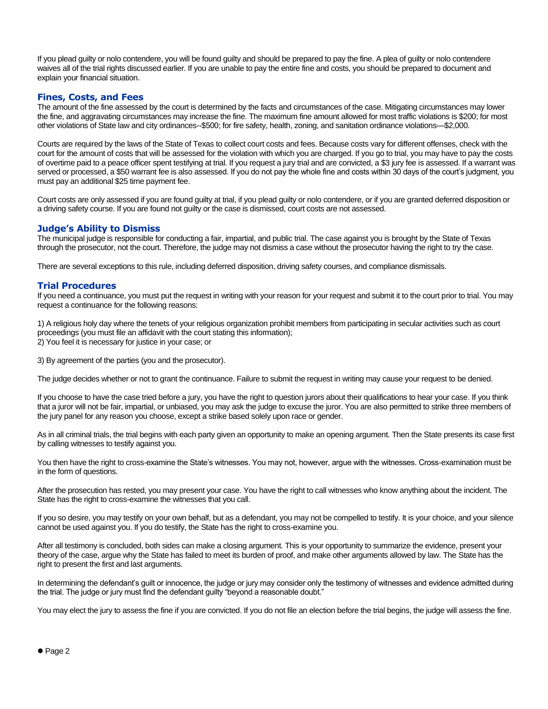If you plead guilty or nolo contendere, you will be found guilty and should be prepared to pay the fine. A plea of guilty or nolo contendere waives all of the trial rights discussed earlier. If you are unable to pay the entire fine and costs, you should be prepared to document and explain your financial situation.

#### **Fines, Costs, and Fees**

The amount of the fine assessed by the court is determined by the facts and circumstances of the case. Mitigating circumstances may lower the fine, and aggravating circumstances may increase the fine. The maximum fine amount allowed for most traffic violations is \$200; for most other violations of State law and city ordinances--\$500; for fire safety, health, zoning, and sanitation ordinance violations—\$2,000.

Courts are required by the laws of the State of Texas to collect court costs and fees. Because costs vary for different offenses, check with the court for the amount of costs that will be assessed for the violation with which you are charged. If you go to trial, you may have to pay the costs of overtime paid to a peace officer spent testifying at trial. If you request a jury trial and are convicted, a \$3 jury fee is assessed. If a warrant was served or processed, a \$50 warrant fee is also assessed. If you do not pay the whole fine and costs within 30 days of the court's judgment, you must pay an additional \$25 time payment fee.

Court costs are only assessed if you are found guilty at trial, if you plead guilty or nolo contendere, or if you are granted deferred disposition or a driving safety course. If you are found not guilty or the case is dismissed, court costs are not assessed.

# **Judge's Ability to Dismiss**

The municipal judge is responsible for conducting a fair, impartial, and public trial. The case against you is brought by the State of Texas through the prosecutor, not the court. Therefore, the judge may not dismiss a case without the prosecutor having the right to try the case.

There are several exceptions to this rule, including deferred disposition, driving safety courses, and compliance dismissals.

#### **Trial Procedures**

If you need a continuance, you must put the request in writing with your reason for your request and submit it to the court prior to trial. You may request a continuance for the following reasons:

1) A religious holy day where the tenets of your religious organization prohibit members from participating in secular activities such as court proceedings (you must file an affidavit with the court stating this information); 2) You feel it is necessary for justice in your case; or

3) By agreement of the parties (you and the prosecutor).

The judge decides whether or not to grant the continuance. Failure to submit the request in writing may cause your request to be denied.

If you choose to have the case tried before a jury, you have the right to question jurors about their qualifications to hear your case. If you think that a juror will not be fair, impartial, or unbiased, you may ask the judge to excuse the juror. You are also permitted to strike three members of the jury panel for any reason you choose, except a strike based solely upon race or gender.

As in all criminal trials, the trial begins with each party given an opportunity to make an opening argument. Then the State presents its case first by calling witnesses to testify against you.

You then have the right to cross-examine the State's witnesses. You may not, however, argue with the witnesses. Cross-examination must be in the form of questions.

After the prosecution has rested, you may present your case. You have the right to call witnesses who know anything about the incident. The State has the right to cross-examine the witnesses that you call.

If you so desire, you may testify on your own behalf, but as a defendant, you may not be compelled to testify. It is your choice, and your silence cannot be used against you. If you do testify, the State has the right to cross-examine you.

After all testimony is concluded, both sides can make a closing argument. This is your opportunity to summarize the evidence, present your theory of the case, argue why the State has failed to meet its burden of proof, and make other arguments allowed by law. The State has the right to present the first and last arguments.

In determining the defendant's guilt or innocence, the judge or jury may consider only the testimony of witnesses and evidence admitted during the trial. The judge or jury must find the defendant guilty "beyond a reasonable doubt."

You may elect the jury to assess the fine if you are convicted. If you do not file an election before the trial begins, the judge will assess the fine.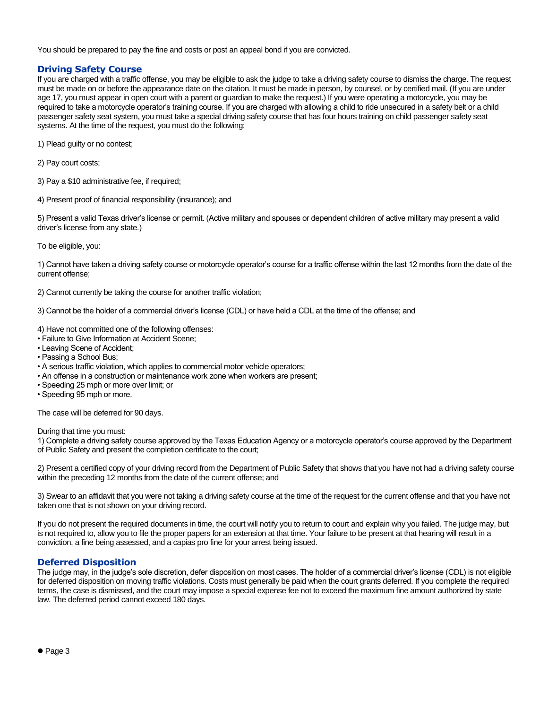You should be prepared to pay the fine and costs or post an appeal bond if you are convicted.

# **Driving Safety Course**

If you are charged with a traffic offense, you may be eligible to ask the judge to take a driving safety course to dismiss the charge. The request must be made on or before the appearance date on the citation. It must be made in person, by counsel, or by certified mail. (If you are under age 17, you must appear in open court with a parent or guardian to make the request.) If you were operating a motorcycle, you may be required to take a motorcycle operator's training course. If you are charged with allowing a child to ride unsecured in a safety belt or a child passenger safety seat system, you must take a special driving safety course that has four hours training on child passenger safety seat systems. At the time of the request, you must do the following:

- 1) Plead guilty or no contest;
- 2) Pay court costs;
- 3) Pay a \$10 administrative fee, if required;
- 4) Present proof of financial responsibility (insurance); and

5) Present a valid Texas driver's license or permit. (Active military and spouses or dependent children of active military may present a valid driver's license from any state.)

To be eligible, you:

1) Cannot have taken a driving safety course or motorcycle operator's course for a traffic offense within the last 12 months from the date of the current offense;

2) Cannot currently be taking the course for another traffic violation;

3) Cannot be the holder of a commercial driver's license (CDL) or have held a CDL at the time of the offense; and

4) Have not committed one of the following offenses:

- Failure to Give Information at Accident Scene;
- Leaving Scene of Accident;
- Passing a School Bus;
- A serious traffic violation, which applies to commercial motor vehicle operators;
- An offense in a construction or maintenance work zone when workers are present;
- Speeding 25 mph or more over limit; or
- Speeding 95 mph or more.

The case will be deferred for 90 days.

#### During that time you must:

1) Complete a driving safety course approved by the Texas Education Agency or a motorcycle operator's course approved by the Department of Public Safety and present the completion certificate to the court;

2) Present a certified copy of your driving record from the Department of Public Safety that shows that you have not had a driving safety course within the preceding 12 months from the date of the current offense; and

3) Swear to an affidavit that you were not taking a driving safety course at the time of the request for the current offense and that you have not taken one that is not shown on your driving record.

If you do not present the required documents in time, the court will notify you to return to court and explain why you failed. The judge may, but is not required to, allow you to file the proper papers for an extension at that time. Your failure to be present at that hearing will result in a conviction, a fine being assessed, and a capias pro fine for your arrest being issued.

#### **Deferred Disposition**

The judge may, in the judge's sole discretion, defer disposition on most cases. The holder of a commercial driver's license (CDL) is not eligible for deferred disposition on moving traffic violations. Costs must generally be paid when the court grants deferred. If you complete the required terms, the case is dismissed, and the court may impose a special expense fee not to exceed the maximum fine amount authorized by state law. The deferred period cannot exceed 180 days.